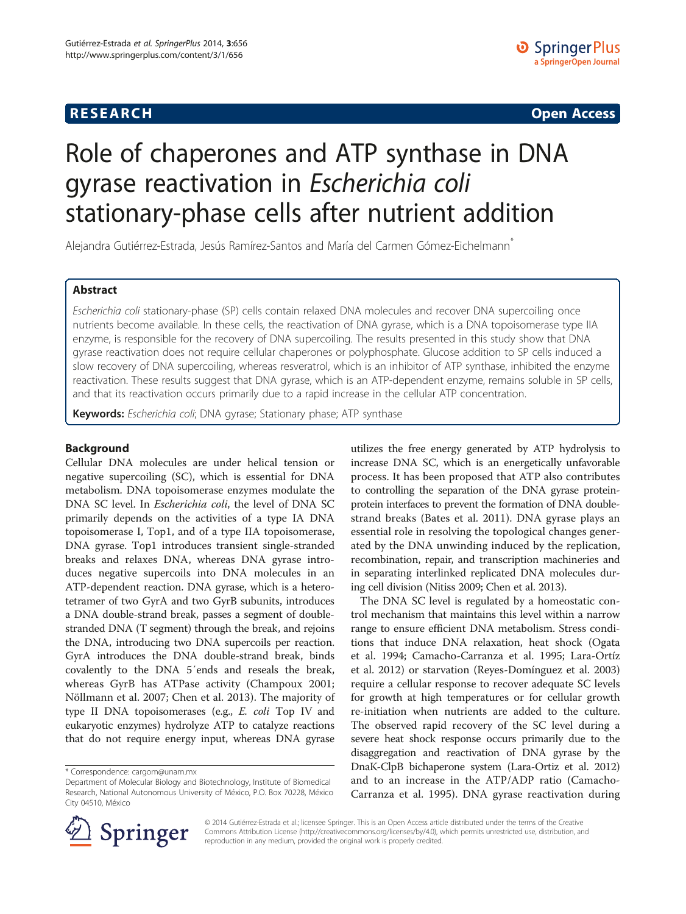# **RESEARCH RESEARCH CONSUMING ACCESS**

# Role of chaperones and ATP synthase in DNA gyrase reactivation in Escherichia coli stationary-phase cells after nutrient addition

Alejandra Gutiérrez-Estrada, Jesús Ramírez-Santos and María del Carmen Gómez-Eichelmann\*

## Abstract

Escherichia coli stationary-phase (SP) cells contain relaxed DNA molecules and recover DNA supercoiling once nutrients become available. In these cells, the reactivation of DNA gyrase, which is a DNA topoisomerase type IIA enzyme, is responsible for the recovery of DNA supercoiling. The results presented in this study show that DNA gyrase reactivation does not require cellular chaperones or polyphosphate. Glucose addition to SP cells induced a slow recovery of DNA supercoiling, whereas resveratrol, which is an inhibitor of ATP synthase, inhibited the enzyme reactivation. These results suggest that DNA gyrase, which is an ATP-dependent enzyme, remains soluble in SP cells, and that its reactivation occurs primarily due to a rapid increase in the cellular ATP concentration.

Keywords: Escherichia coli; DNA gyrase; Stationary phase; ATP synthase

## Background

Cellular DNA molecules are under helical tension or negative supercoiling (SC), which is essential for DNA metabolism. DNA topoisomerase enzymes modulate the DNA SC level. In Escherichia coli, the level of DNA SC primarily depends on the activities of a type IA DNA topoisomerase I, Top1, and of a type IIA topoisomerase, DNA gyrase. Top1 introduces transient single-stranded breaks and relaxes DNA, whereas DNA gyrase introduces negative supercoils into DNA molecules in an ATP-dependent reaction. DNA gyrase, which is a heterotetramer of two GyrA and two GyrB subunits, introduces a DNA double-strand break, passes a segment of doublestranded DNA (T segment) through the break, and rejoins the DNA, introducing two DNA supercoils per reaction. GyrA introduces the DNA double-strand break, binds covalently to the DNA 5′ends and reseals the break, whereas GyrB has ATPase activity (Champoux [2001](#page-6-0); Nöllmann et al. [2007](#page-6-0); Chen et al. [2013](#page-6-0)). The majority of type II DNA topoisomerases (e.g., E. coli Top IV and eukaryotic enzymes) hydrolyze ATP to catalyze reactions that do not require energy input, whereas DNA gyrase

utilizes the free energy generated by ATP hydrolysis to increase DNA SC, which is an energetically unfavorable process. It has been proposed that ATP also contributes to controlling the separation of the DNA gyrase proteinprotein interfaces to prevent the formation of DNA doublestrand breaks (Bates et al. [2011](#page-6-0)). DNA gyrase plays an essential role in resolving the topological changes generated by the DNA unwinding induced by the replication, recombination, repair, and transcription machineries and in separating interlinked replicated DNA molecules during cell division (Nitiss [2009](#page-6-0); Chen et al. [2013\)](#page-6-0).

The DNA SC level is regulated by a homeostatic control mechanism that maintains this level within a narrow range to ensure efficient DNA metabolism. Stress conditions that induce DNA relaxation, heat shock (Ogata et al. [1994;](#page-6-0) Camacho-Carranza et al. [1995](#page-6-0); Lara-Ortíz et al. [2012](#page-6-0)) or starvation (Reyes-Domínguez et al. [2003](#page-6-0)) require a cellular response to recover adequate SC levels for growth at high temperatures or for cellular growth re-initiation when nutrients are added to the culture. The observed rapid recovery of the SC level during a severe heat shock response occurs primarily due to the disaggregation and reactivation of DNA gyrase by the DnaK-ClpB bichaperone system (Lara-Ortiz et al. [2012](#page-6-0)) and to an increase in the ATP/ADP ratio (Camacho-Carranza et al. [1995](#page-6-0)). DNA gyrase reactivation during



© 2014 Gutiérrez-Estrada et al.; licensee Springer. This is an Open Access article distributed under the terms of the Creative Commons Attribution License (<http://creativecommons.org/licenses/by/4.0>), which permits unrestricted use, distribution, and reproduction in any medium, provided the original work is properly credited.

<sup>\*</sup> Correspondence: [cargom@unam.mx](mailto:cargom@unam.mx)

Department of Molecular Biology and Biotechnology, Institute of Biomedical Research, National Autonomous University of México, P.O. Box 70228, México City 04510, México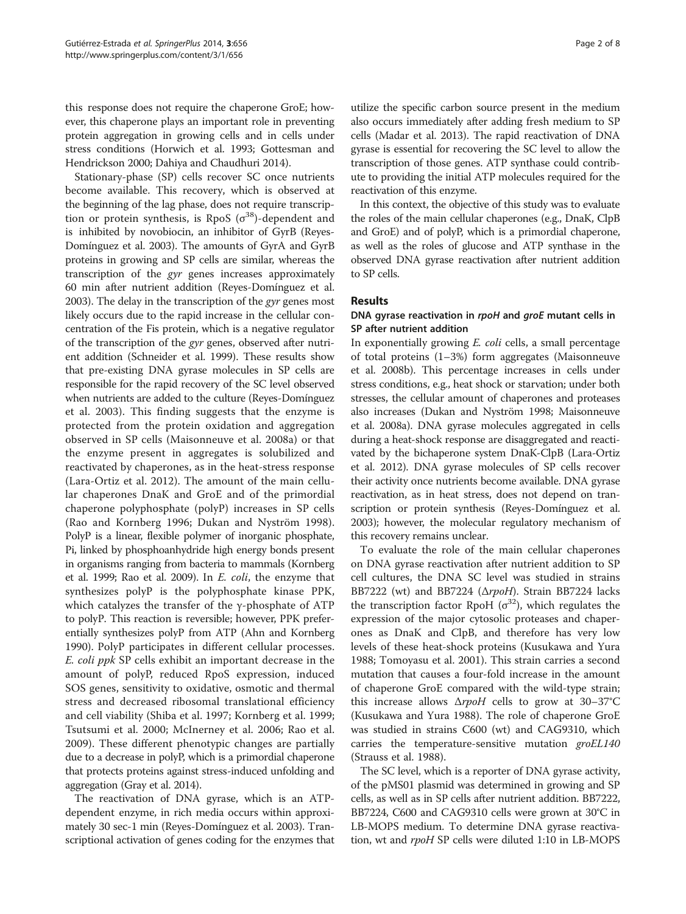this response does not require the chaperone GroE; however, this chaperone plays an important role in preventing protein aggregation in growing cells and in cells under stress conditions (Horwich et al. [1993](#page-6-0); Gottesman and Hendrickson [2000](#page-6-0); Dahiya and Chaudhuri [2014\)](#page-6-0).

Stationary-phase (SP) cells recover SC once nutrients become available. This recovery, which is observed at the beginning of the lag phase, does not require transcription or protein synthesis, is RpoS  $(\sigma^{38})$ -dependent and is inhibited by novobiocin, an inhibitor of GyrB (Reyes-Domínguez et al. [2003\)](#page-6-0). The amounts of GyrA and GyrB proteins in growing and SP cells are similar, whereas the transcription of the gyr genes increases approximately 60 min after nutrient addition (Reyes-Domínguez et al. [2003\)](#page-6-0). The delay in the transcription of the *gyr* genes most likely occurs due to the rapid increase in the cellular concentration of the Fis protein, which is a negative regulator of the transcription of the gyr genes, observed after nutrient addition (Schneider et al. [1999\)](#page-6-0). These results show that pre-existing DNA gyrase molecules in SP cells are responsible for the rapid recovery of the SC level observed when nutrients are added to the culture (Reyes-Domínguez et al. [2003](#page-6-0)). This finding suggests that the enzyme is protected from the protein oxidation and aggregation observed in SP cells (Maisonneuve et al. [2008a](#page-6-0)) or that the enzyme present in aggregates is solubilized and reactivated by chaperones, as in the heat-stress response (Lara-Ortiz et al. [2012](#page-6-0)). The amount of the main cellular chaperones DnaK and GroE and of the primordial chaperone polyphosphate (polyP) increases in SP cells (Rao and Kornberg [1996;](#page-6-0) Dukan and Nyström [1998](#page-6-0)). PolyP is a linear, flexible polymer of inorganic phosphate, Pi, linked by phosphoanhydride high energy bonds present in organisms ranging from bacteria to mammals (Kornberg et al. [1999](#page-6-0); Rao et al. [2009](#page-6-0)). In E. coli, the enzyme that synthesizes polyP is the polyphosphate kinase PPK, which catalyzes the transfer of the  $\gamma$ -phosphate of ATP to polyP. This reaction is reversible; however, PPK preferentially synthesizes polyP from ATP (Ahn and Kornberg [1990\)](#page-6-0). PolyP participates in different cellular processes. E. coli ppk SP cells exhibit an important decrease in the amount of polyP, reduced RpoS expression, induced SOS genes, sensitivity to oxidative, osmotic and thermal stress and decreased ribosomal translational efficiency and cell viability (Shiba et al. [1997;](#page-7-0) Kornberg et al. [1999](#page-6-0); Tsutsumi et al. [2000;](#page-7-0) McInerney et al. [2006;](#page-6-0) Rao et al. [2009\)](#page-6-0). These different phenotypic changes are partially due to a decrease in polyP, which is a primordial chaperone that protects proteins against stress-induced unfolding and aggregation (Gray et al. [2014\)](#page-6-0).

The reactivation of DNA gyrase, which is an ATPdependent enzyme, in rich media occurs within approximately 30 sec-1 min (Reyes-Domínguez et al. [2003](#page-6-0)). Transcriptional activation of genes coding for the enzymes that

utilize the specific carbon source present in the medium also occurs immediately after adding fresh medium to SP cells (Madar et al. [2013](#page-6-0)). The rapid reactivation of DNA gyrase is essential for recovering the SC level to allow the transcription of those genes. ATP synthase could contribute to providing the initial ATP molecules required for the reactivation of this enzyme.

In this context, the objective of this study was to evaluate the roles of the main cellular chaperones (e.g., DnaK, ClpB and GroE) and of polyP, which is a primordial chaperone, as well as the roles of glucose and ATP synthase in the observed DNA gyrase reactivation after nutrient addition to SP cells.

#### Results

## DNA gyrase reactivation in rpoH and groE mutant cells in SP after nutrient addition

In exponentially growing E. coli cells, a small percentage of total proteins (1–3%) form aggregates (Maisonneuve et al. [2008b\)](#page-6-0). This percentage increases in cells under stress conditions, e.g., heat shock or starvation; under both stresses, the cellular amount of chaperones and proteases also increases (Dukan and Nyström [1998](#page-6-0); Maisonneuve et al. [2008a](#page-6-0)). DNA gyrase molecules aggregated in cells during a heat-shock response are disaggregated and reactivated by the bichaperone system DnaK-ClpB (Lara-Ortiz et al. [2012\)](#page-6-0). DNA gyrase molecules of SP cells recover their activity once nutrients become available. DNA gyrase reactivation, as in heat stress, does not depend on transcription or protein synthesis (Reyes-Domínguez et al. [2003](#page-6-0)); however, the molecular regulatory mechanism of this recovery remains unclear.

To evaluate the role of the main cellular chaperones on DNA gyrase reactivation after nutrient addition to SP cell cultures, the DNA SC level was studied in strains BB7222 (wt) and BB7224 (ΔrpoH). Strain BB7224 lacks the transcription factor RpoH ( $\sigma$ <sup>32</sup>), which regulates the expression of the major cytosolic proteases and chaperones as DnaK and ClpB, and therefore has very low levels of these heat-shock proteins (Kusukawa and Yura [1988](#page-6-0); Tomoyasu et al. [2001\)](#page-7-0). This strain carries a second mutation that causes a four-fold increase in the amount of chaperone GroE compared with the wild-type strain; this increase allows  $\Delta r$ *poH* cells to grow at 30–37<sup>°</sup>C (Kusukawa and Yura [1988](#page-6-0)). The role of chaperone GroE was studied in strains C600 (wt) and CAG9310, which carries the temperature-sensitive mutation groEL140 (Strauss et al. [1988](#page-7-0)).

The SC level, which is a reporter of DNA gyrase activity, of the pMS01 plasmid was determined in growing and SP cells, as well as in SP cells after nutrient addition. BB7222, BB7224, C600 and CAG9310 cells were grown at 30°C in LB-MOPS medium. To determine DNA gyrase reactivation, wt and rpoH SP cells were diluted 1:10 in LB-MOPS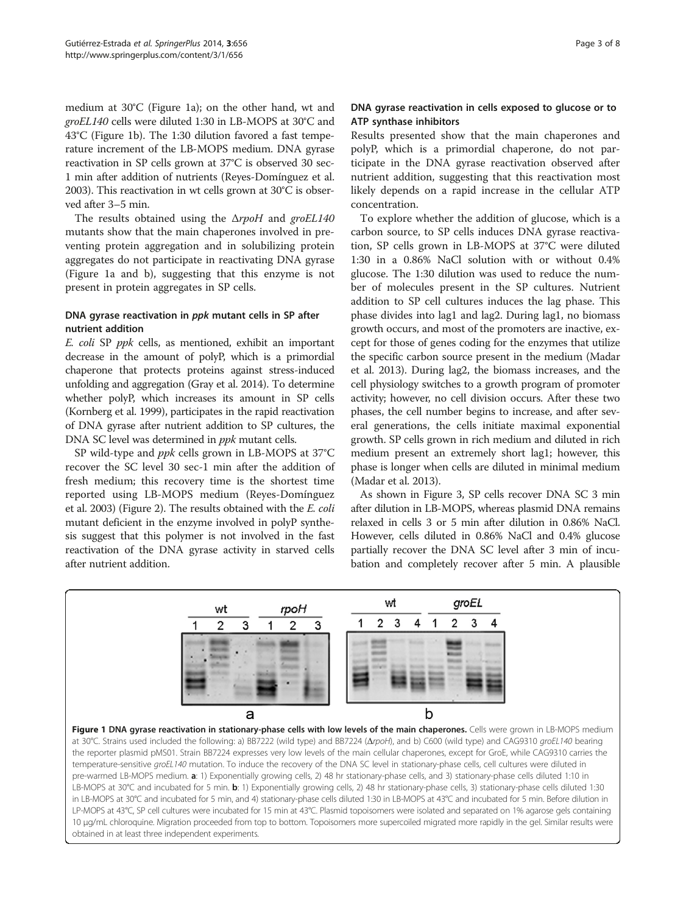<span id="page-2-0"></span>medium at 30°C (Figure 1a); on the other hand, wt and groEL140 cells were diluted 1:30 in LB-MOPS at 30°C and 43°C (Figure 1b). The 1:30 dilution favored a fast temperature increment of the LB-MOPS medium. DNA gyrase reactivation in SP cells grown at 37°C is observed 30 sec-1 min after addition of nutrients (Reyes-Domínguez et al. [2003\)](#page-6-0). This reactivation in wt cells grown at 30°C is observed after 3–5 min.

The results obtained using the  $\Delta r$ *poH* and *groEL140* mutants show that the main chaperones involved in preventing protein aggregation and in solubilizing protein aggregates do not participate in reactivating DNA gyrase (Figure 1a and b), suggesting that this enzyme is not present in protein aggregates in SP cells.

## DNA gyrase reactivation in ppk mutant cells in SP after nutrient addition

E. coli SP ppk cells, as mentioned, exhibit an important decrease in the amount of polyP, which is a primordial chaperone that protects proteins against stress-induced unfolding and aggregation (Gray et al. [2014](#page-6-0)). To determine whether polyP, which increases its amount in SP cells (Kornberg et al. [1999](#page-6-0)), participates in the rapid reactivation of DNA gyrase after nutrient addition to SP cultures, the DNA SC level was determined in ppk mutant cells.

SP wild-type and ppk cells grown in LB-MOPS at 37°C recover the SC level 30 sec-1 min after the addition of fresh medium; this recovery time is the shortest time reported using LB-MOPS medium (Reyes-Domínguez et al. [2003](#page-6-0)) (Figure [2\)](#page-3-0). The results obtained with the E. coli mutant deficient in the enzyme involved in polyP synthesis suggest that this polymer is not involved in the fast reactivation of the DNA gyrase activity in starved cells after nutrient addition.

## DNA gyrase reactivation in cells exposed to glucose or to ATP synthase inhibitors

Results presented show that the main chaperones and polyP, which is a primordial chaperone, do not participate in the DNA gyrase reactivation observed after nutrient addition, suggesting that this reactivation most likely depends on a rapid increase in the cellular ATP concentration.

To explore whether the addition of glucose, which is a carbon source, to SP cells induces DNA gyrase reactivation, SP cells grown in LB-MOPS at 37°C were diluted 1:30 in a 0.86% NaCl solution with or without 0.4% glucose. The 1:30 dilution was used to reduce the number of molecules present in the SP cultures. Nutrient addition to SP cell cultures induces the lag phase. This phase divides into lag1 and lag2. During lag1, no biomass growth occurs, and most of the promoters are inactive, except for those of genes coding for the enzymes that utilize the specific carbon source present in the medium (Madar et al. [2013](#page-6-0)). During lag2, the biomass increases, and the cell physiology switches to a growth program of promoter activity; however, no cell division occurs. After these two phases, the cell number begins to increase, and after several generations, the cells initiate maximal exponential growth. SP cells grown in rich medium and diluted in rich medium present an extremely short lag1; however, this phase is longer when cells are diluted in minimal medium (Madar et al. [2013\)](#page-6-0).

As shown in Figure [3](#page-3-0), SP cells recover DNA SC 3 min after dilution in LB-MOPS, whereas plasmid DNA remains relaxed in cells 3 or 5 min after dilution in 0.86% NaCl. However, cells diluted in 0.86% NaCl and 0.4% glucose partially recover the DNA SC level after 3 min of incubation and completely recover after 5 min. A plausible



in LB-MOPS at 30°C and incubated for 5 min, and 4) stationary-phase cells diluted 1:30 in LB-MOPS at 43°C and incubated for 5 min. Before dilution in LP-MOPS at 43°C, SP cell cultures were incubated for 15 min at 43°C. Plasmid topoisomers were isolated and separated on 1% agarose gels containing 10 μg/mL chloroquine. Migration proceeded from top to bottom. Topoisomers more supercoiled migrated more rapidly in the gel. Similar results were obtained in at least three independent experiments.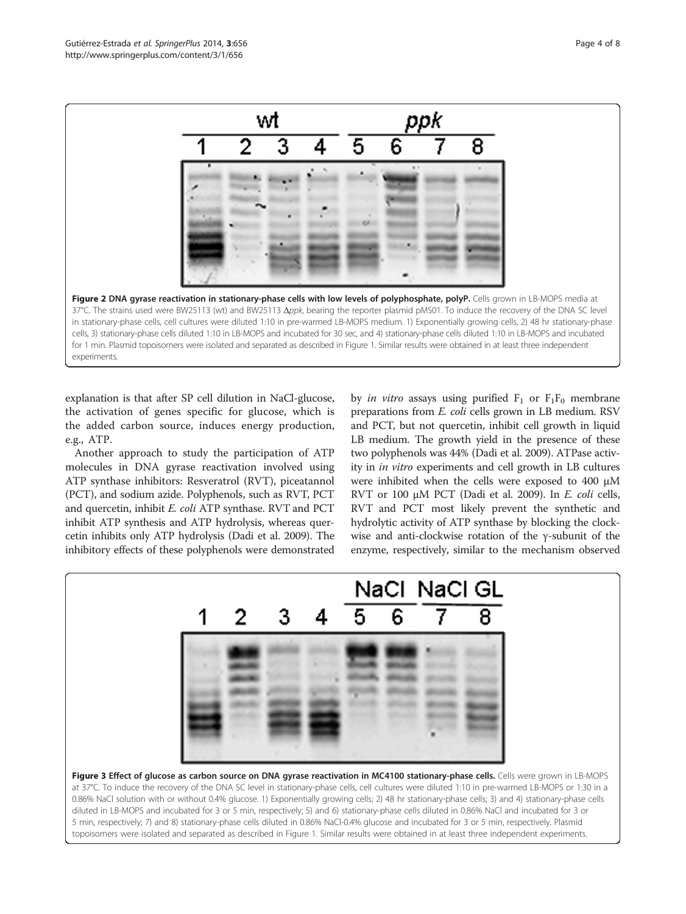<span id="page-3-0"></span>

explanation is that after SP cell dilution in NaCl-glucose, the activation of genes specific for glucose, which is the added carbon source, induces energy production, e.g., ATP.

Another approach to study the participation of ATP molecules in DNA gyrase reactivation involved using ATP synthase inhibitors: Resveratrol (RVT), piceatannol (PCT), and sodium azide. Polyphenols, such as RVT, PCT and quercetin, inhibit E. coli ATP synthase. RVT and PCT inhibit ATP synthesis and ATP hydrolysis, whereas quercetin inhibits only ATP hydrolysis (Dadi et al. [2009](#page-6-0)). The inhibitory effects of these polyphenols were demonstrated

by *in vitro* assays using purified  $F_1$  or  $F_1F_0$  membrane preparations from E. coli cells grown in LB medium. RSV and PCT, but not quercetin, inhibit cell growth in liquid LB medium. The growth yield in the presence of these two polyphenols was 44% (Dadi et al. [2009](#page-6-0)). ATPase activity in in vitro experiments and cell growth in LB cultures were inhibited when the cells were exposed to 400 μM RVT or 100 μM PCT (Dadi et al. [2009\)](#page-6-0). In E. coli cells, RVT and PCT most likely prevent the synthetic and hydrolytic activity of ATP synthase by blocking the clockwise and anti-clockwise rotation of the γ-subunit of the enzyme, respectively, similar to the mechanism observed



at 37°C. To induce the recovery of the DNA SC level in stationary-phase cells, cell cultures were diluted 1:10 in pre-warmed LB-MOPS or 1:30 in a 0.86% NaCl solution with or without 0.4% glucose. 1) Exponentially growing cells; 2) 48 hr stationary-phase cells; 3) and 4) stationary-phase cells diluted in LB-MOPS and incubated for 3 or 5 min, respectively; 5) and 6) stationary-phase cells diluted in 0.86% NaCl and incubated for 3 or 5 min, respectively; 7) and 8) stationary-phase cells diluted in 0.86% NaCl-0.4% glucose and incubated for 3 or 5 min, respectively. Plasmid topoisomers were isolated and separated as described in Figure [1](#page-2-0). Similar results were obtained in at least three independent experiments.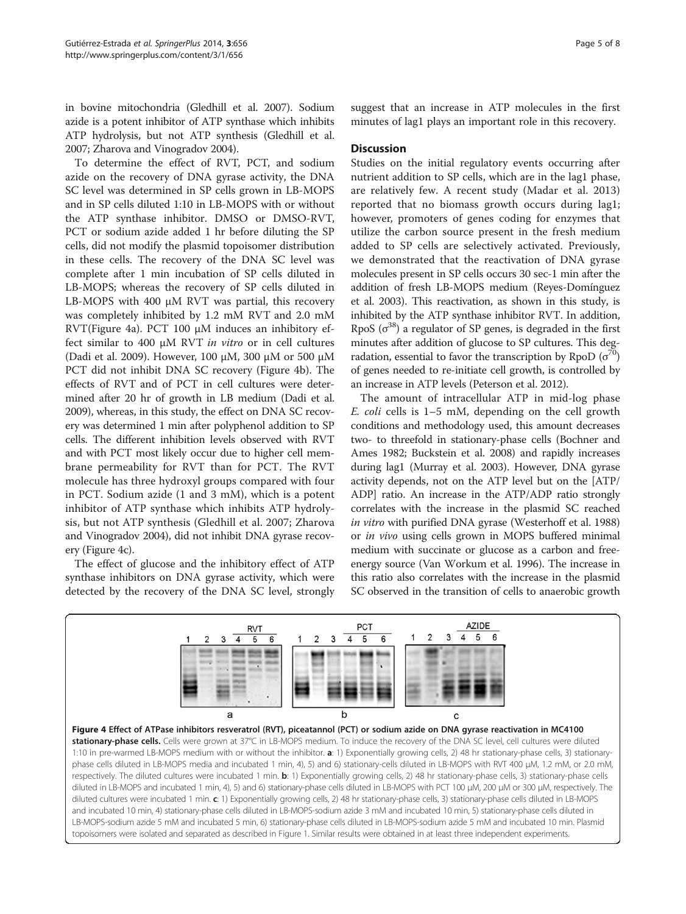in bovine mitochondria (Gledhill et al. [2007\)](#page-6-0). Sodium azide is a potent inhibitor of ATP synthase which inhibits ATP hydrolysis, but not ATP synthesis (Gledhill et al. [2007;](#page-6-0) Zharova and Vinogradov [2004](#page-7-0)).

To determine the effect of RVT, PCT, and sodium azide on the recovery of DNA gyrase activity, the DNA SC level was determined in SP cells grown in LB-MOPS and in SP cells diluted 1:10 in LB-MOPS with or without the ATP synthase inhibitor. DMSO or DMSO-RVT, PCT or sodium azide added 1 hr before diluting the SP cells, did not modify the plasmid topoisomer distribution in these cells. The recovery of the DNA SC level was complete after 1 min incubation of SP cells diluted in LB-MOPS; whereas the recovery of SP cells diluted in LB-MOPS with 400 μM RVT was partial, this recovery was completely inhibited by 1.2 mM RVT and 2.0 mM RVT(Figure 4a). PCT 100 μM induces an inhibitory effect similar to 400  $\mu$ M RVT *in vitro* or in cell cultures (Dadi et al. [2009\)](#page-6-0). However, 100 μM, 300 μM or 500 μM PCT did not inhibit DNA SC recovery (Figure 4b). The effects of RVT and of PCT in cell cultures were determined after 20 hr of growth in LB medium (Dadi et al. [2009\)](#page-6-0), whereas, in this study, the effect on DNA SC recovery was determined 1 min after polyphenol addition to SP cells. The different inhibition levels observed with RVT and with PCT most likely occur due to higher cell membrane permeability for RVT than for PCT. The RVT molecule has three hydroxyl groups compared with four in PCT. Sodium azide (1 and 3 mM), which is a potent inhibitor of ATP synthase which inhibits ATP hydrolysis, but not ATP synthesis (Gledhill et al. [2007](#page-6-0); Zharova and Vinogradov [2004](#page-7-0)), did not inhibit DNA gyrase recovery (Figure 4c).

The effect of glucose and the inhibitory effect of ATP synthase inhibitors on DNA gyrase activity, which were detected by the recovery of the DNA SC level, strongly suggest that an increase in ATP molecules in the first minutes of lag1 plays an important role in this recovery.

### **Discussion**

Studies on the initial regulatory events occurring after nutrient addition to SP cells, which are in the lag1 phase, are relatively few. A recent study (Madar et al. [2013](#page-6-0)) reported that no biomass growth occurs during lag1; however, promoters of genes coding for enzymes that utilize the carbon source present in the fresh medium added to SP cells are selectively activated. Previously, we demonstrated that the reactivation of DNA gyrase molecules present in SP cells occurs 30 sec-1 min after the addition of fresh LB-MOPS medium (Reyes-Domínguez et al. [2003](#page-6-0)). This reactivation, as shown in this study, is inhibited by the ATP synthase inhibitor RVT. In addition, RpoS  $(\sigma^{38})$  a regulator of SP genes, is degraded in the first minutes after addition of glucose to SP cultures. This degradation, essential to favor the transcription by RpoD  $(\sigma^{70})$ of genes needed to re-initiate cell growth, is controlled by an increase in ATP levels (Peterson et al. [2012\)](#page-6-0).

The amount of intracellular ATP in mid-log phase E. coli cells is 1–5 mM, depending on the cell growth conditions and methodology used, this amount decreases two- to threefold in stationary-phase cells (Bochner and Ames [1982](#page-6-0); Buckstein et al. [2008\)](#page-6-0) and rapidly increases during lag1 (Murray et al. [2003](#page-6-0)). However, DNA gyrase activity depends, not on the ATP level but on the [ATP/ ADP] ratio. An increase in the ATP/ADP ratio strongly correlates with the increase in the plasmid SC reached in vitro with purified DNA gyrase (Westerhoff et al. [1988](#page-7-0)) or in vivo using cells grown in MOPS buffered minimal medium with succinate or glucose as a carbon and freeenergy source (Van Workum et al. [1996\)](#page-7-0). The increase in this ratio also correlates with the increase in the plasmid SC observed in the transition of cells to anaerobic growth

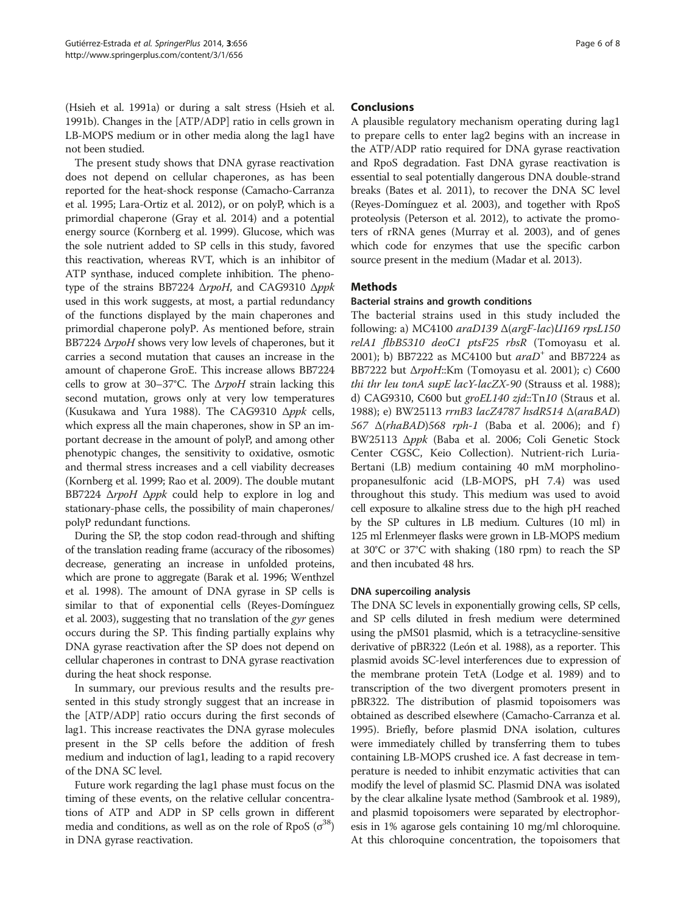(Hsieh et al. [1991a\)](#page-6-0) or during a salt stress (Hsieh et al. [1991b](#page-6-0)). Changes in the [ATP/ADP] ratio in cells grown in LB-MOPS medium or in other media along the lag1 have not been studied.

The present study shows that DNA gyrase reactivation does not depend on cellular chaperones, as has been reported for the heat-shock response (Camacho-Carranza et al. [1995](#page-6-0); Lara-Ortiz et al. [2012](#page-6-0)), or on polyP, which is a primordial chaperone (Gray et al. [2014](#page-6-0)) and a potential energy source (Kornberg et al. [1999](#page-6-0)). Glucose, which was the sole nutrient added to SP cells in this study, favored this reactivation, whereas RVT, which is an inhibitor of ATP synthase, induced complete inhibition. The phenotype of the strains BB7224 ΔrpoH, and CAG9310 Δppk used in this work suggests, at most, a partial redundancy of the functions displayed by the main chaperones and primordial chaperone polyP. As mentioned before, strain BB7224 ΔrpoH shows very low levels of chaperones, but it carries a second mutation that causes an increase in the amount of chaperone GroE. This increase allows BB7224 cells to grow at 30–37°C. The  $\Delta r$ *poH* strain lacking this second mutation, grows only at very low temperatures (Kusukawa and Yura [1988\)](#page-6-0). The CAG9310  $\Delta ppk$  cells, which express all the main chaperones, show in SP an important decrease in the amount of polyP, and among other phenotypic changes, the sensitivity to oxidative, osmotic and thermal stress increases and a cell viability decreases (Kornberg et al. [1999](#page-6-0); Rao et al. [2009](#page-6-0)). The double mutant BB7224 ΔrpoH Δppk could help to explore in log and stationary-phase cells, the possibility of main chaperones/ polyP redundant functions.

During the SP, the stop codon read-through and shifting of the translation reading frame (accuracy of the ribosomes) decrease, generating an increase in unfolded proteins, which are prone to aggregate (Barak et al. [1996](#page-6-0); Wenthzel et al. [1998](#page-7-0)). The amount of DNA gyrase in SP cells is similar to that of exponential cells (Reyes-Domínguez et al. [2003\)](#page-6-0), suggesting that no translation of the gyr genes occurs during the SP. This finding partially explains why DNA gyrase reactivation after the SP does not depend on cellular chaperones in contrast to DNA gyrase reactivation during the heat shock response.

In summary, our previous results and the results presented in this study strongly suggest that an increase in the [ATP/ADP] ratio occurs during the first seconds of lag1. This increase reactivates the DNA gyrase molecules present in the SP cells before the addition of fresh medium and induction of lag1, leading to a rapid recovery of the DNA SC level.

Future work regarding the lag1 phase must focus on the timing of these events, on the relative cellular concentrations of ATP and ADP in SP cells grown in different media and conditions, as well as on the role of RpoS  $(\sigma^{38})$ in DNA gyrase reactivation.

## **Conclusions**

A plausible regulatory mechanism operating during lag1 to prepare cells to enter lag2 begins with an increase in the ATP/ADP ratio required for DNA gyrase reactivation and RpoS degradation. Fast DNA gyrase reactivation is essential to seal potentially dangerous DNA double-strand breaks (Bates et al. [2011](#page-6-0)), to recover the DNA SC level (Reyes-Domínguez et al. [2003](#page-6-0)), and together with RpoS proteolysis (Peterson et al. [2012](#page-6-0)), to activate the promoters of rRNA genes (Murray et al. [2003\)](#page-6-0), and of genes which code for enzymes that use the specific carbon source present in the medium (Madar et al. [2013](#page-6-0)).

## **Methods**

### Bacterial strains and growth conditions

The bacterial strains used in this study included the following: a) MC4100  $arab139 \triangle (argF-lac)U169$  rpsL150 relA1 flbB5310 deoC1 ptsF25 rbsR (Tomoyasu et al. [2001](#page-7-0)); b) BB7222 as MC4100 but  $arab^+$  and BB7224 as BB7222 but ΔrpoH::Km (Tomoyasu et al. [2001\)](#page-7-0); c) C600 thi thr leu tonA supE lacY-lacZX-90 (Strauss et al. [1988](#page-7-0)); d) CAG9310, C600 but groEL140 zjd::Tn10 (Straus et al. [1988](#page-7-0)); e) BW25113 rrnB3 lacZ4787 hsdR514 Δ(araBAD) 567  $\Delta(rhaBAD)$ 568 rph-1 (Baba et al. [2006\)](#page-6-0); and f) BW25113 Δppk (Baba et al. [2006](#page-6-0); Coli Genetic Stock Center CGSC, Keio Collection). Nutrient-rich Luria-Bertani (LB) medium containing 40 mM morpholinopropanesulfonic acid (LB-MOPS, pH 7.4) was used throughout this study. This medium was used to avoid cell exposure to alkaline stress due to the high pH reached by the SP cultures in LB medium. Cultures (10 ml) in 125 ml Erlenmeyer flasks were grown in LB-MOPS medium at 30°C or 37°C with shaking (180 rpm) to reach the SP and then incubated 48 hrs.

#### DNA supercoiling analysis

The DNA SC levels in exponentially growing cells, SP cells, and SP cells diluted in fresh medium were determined using the pMS01 plasmid, which is a tetracycline-sensitive derivative of pBR322 (León et al. [1988](#page-6-0)), as a reporter. This plasmid avoids SC-level interferences due to expression of the membrane protein TetA (Lodge et al. [1989](#page-6-0)) and to transcription of the two divergent promoters present in pBR322. The distribution of plasmid topoisomers was obtained as described elsewhere (Camacho-Carranza et al. [1995](#page-6-0)). Briefly, before plasmid DNA isolation, cultures were immediately chilled by transferring them to tubes containing LB-MOPS crushed ice. A fast decrease in temperature is needed to inhibit enzymatic activities that can modify the level of plasmid SC. Plasmid DNA was isolated by the clear alkaline lysate method (Sambrook et al. [1989](#page-6-0)), and plasmid topoisomers were separated by electrophoresis in 1% agarose gels containing 10 mg/ml chloroquine. At this chloroquine concentration, the topoisomers that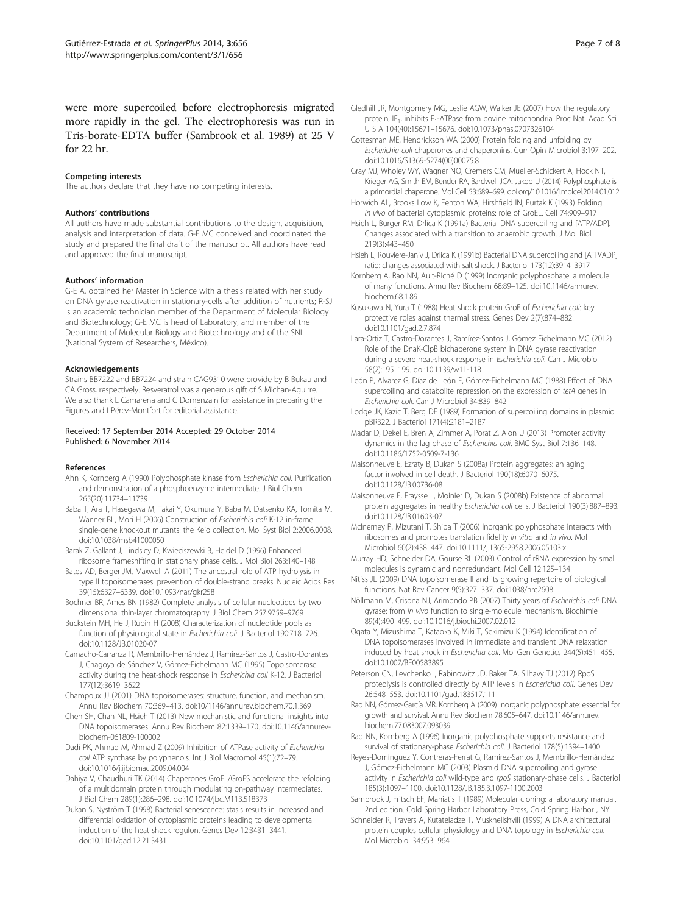<span id="page-6-0"></span>were more supercoiled before electrophoresis migrated more rapidly in the gel. The electrophoresis was run in Tris-borate-EDTA buffer (Sambrook et al. 1989) at 25 V for 22 hr.

#### Competing interests

The authors declare that they have no competing interests.

#### Authors' contributions

All authors have made substantial contributions to the design, acquisition, analysis and interpretation of data. G-E MC conceived and coordinated the study and prepared the final draft of the manuscript. All authors have read and approved the final manuscript.

#### Authors' information

G-E A, obtained her Master in Science with a thesis related with her study on DNA gyrase reactivation in stationary-cells after addition of nutrients; R-SJ is an academic technician member of the Department of Molecular Biology and Biotechnology; G-E MC is head of Laboratory, and member of the Department of Molecular Biology and Biotechnology and of the SNI (National System of Researchers, México).

#### Acknowledgements

Strains BB7222 and BB7224 and strain CAG9310 were provide by B Bukau and CA Gross, respectively. Resveratrol was a generous gift of S Michan-Aguirre. We also thank L Camarena and C Domenzain for assistance in preparing the Figures and I Pérez-Montfort for editorial assistance.

#### Received: 17 September 2014 Accepted: 29 October 2014 Published: 6 November 2014

#### References

- Ahn K, Kornberg A (1990) Polyphosphate kinase from Escherichia coli. Purification and demonstration of a phosphoenzyme intermediate. J Biol Chem 265(20):11734–11739
- Baba T, Ara T, Hasegawa M, Takai Y, Okumura Y, Baba M, Datsenko KA, Tomita M, Wanner BL, Mori H (2006) Construction of Escherichia coli K-12 in-frame single-gene knockout mutants: the Keio collection. Mol Syst Biol 2:2006.0008. doi:10.1038/msb41000050
- Barak Z, Gallant J, Lindsley D, Kwieciszewki B, Heidel D (1996) Enhanced ribosome frameshifting in stationary phase cells. J Mol Biol 263:140–148
- Bates AD, Berger JM, Maxwell A (2011) The ancestral role of ATP hydrolysis in type II topoisomerases: prevention of double-strand breaks. Nucleic Acids Res 39(15):6327–6339. doi:10.1093/nar/gkr258
- Bochner BR, Ames BN (1982) Complete analysis of cellular nucleotides by two dimensional thin-layer chromatography. J Biol Chem 257:9759–9769
- Buckstein MH, He J, Rubin H (2008) Characterization of nucleotide pools as function of physiological state in Escherichia coli. J Bacteriol 190:718–726. doi:10.1128/JB.01020-07
- Camacho-Carranza R, Membrillo-Hernández J, Ramírez-Santos J, Castro-Dorantes J, Chagoya de Sánchez V, Gómez-Eichelmann MC (1995) Topoisomerase activity during the heat-shock response in Escherichia coli K-12. J Bacteriol 177(12):3619–3622
- Champoux JJ (2001) DNA topoisomerases: structure, function, and mechanism. Annu Rev Biochem 70:369–413. doi:10/1146/annurev.biochem.70.1.369
- Chen SH, Chan NL, Hsieh T (2013) New mechanistic and functional insights into DNA topoisomerases. Annu Rev Biochem 82:1339–170. doi:10.1146/annurevbiochem-061809-100002
- Dadi PK, Ahmad M, Ahmad Z (2009) Inhibition of ATPase activity of Escherichia coli ATP synthase by polyphenols. Int J Biol Macromol 45(1):72–79. doi:10.1016/j.ijbiomac.2009.04.004
- Dahiya V, Chaudhuri TK (2014) Chaperones GroEL/GroES accelerate the refolding of a multidomain protein through modulating on-pathway intermediates. J Biol Chem 289(1):286–298. doi:10.1074/jbc.M113.518373
- Dukan S, Nyström T (1998) Bacterial senescence: stasis results in increased and differential oxidation of cytoplasmic proteins leading to developmental induction of the heat shock regulon. Genes Dev 12:3431–3441. doi:10.1101/gad.12.21.3431
- Gledhill JR, Montgomery MG, Leslie AGW, Walker JE (2007) How the regulatory protein, IF<sub>1</sub>, inhibits F<sub>1</sub>-ATPase from bovine mitochondria. Proc Natl Acad Sci U S A 104(40):15671–15676. doi:10.1073/pnas.0707326104
- Gottesman ME, Hendrickson WA (2000) Protein folding and unfolding by Escherichia coli chaperones and chaperonins. Curr Opin Microbiol 3:197–202. doi:10.1016/S1369-5274(00)00075.8
- Gray MJ, Wholey WY, Wagner NO, Cremers CM, Mueller-Schickert A, Hock NT, Krieger AG, Smith EM, Bender RA, Bardwell JCA, Jakob U (2014) Polyphosphate is a primordial chaperone. Mol Cell 53:689–699. doi.org/10.1016/j.molcel.2014.01.012
- Horwich AL, Brooks Low K, Fenton WA, Hirshfield IN, Furtak K (1993) Folding in vivo of bacterial cytoplasmic proteins: role of GroEL. Cell 74:909–917
- Hsieh L, Burger RM, Drlica K (1991a) Bacterial DNA supercoiling and [ATP/ADP]. Changes associated with a transition to anaerobic growth. J Mol Biol 219(3):443–450
- Hsieh L, Rouviere-Janiv J, Drlica K (1991b) Bacterial DNA supercoiling and [ATP/ADP] ratio: changes associated with salt shock. J Bacteriol 173(12):3914–3917
- Kornberg A, Rao NN, Ault-Riché D (1999) Inorganic polyphosphate: a molecule of many functions. Annu Rev Biochem 68:89–125. doi:10.1146/annurev. biochem.68.1.89
- Kusukawa N, Yura T (1988) Heat shock protein GroE of Escherichia coli: key protective roles against thermal stress. Genes Dev 2(7):874–882. doi:10.1101/gad.2.7.874
- Lara-Ortiz T, Castro-Dorantes J, Ramírez-Santos J, Gómez Eichelmann MC (2012) Role of the DnaK-ClpB bichaperone system in DNA gyrase reactivation during a severe heat-shock response in Escherichia coli. Can J Microbiol 58(2):195–199. doi:10.1139/w11-118
- León P, Alvarez G, Díaz de León F, Gómez-Eichelmann MC (1988) Effect of DNA supercoiling and catabolite repression on the expression of tetA genes in Escherichia coli. Can J Microbiol 34:839–842
- Lodge JK, Kazic T, Berg DE (1989) Formation of supercoiling domains in plasmid pBR322. J Bacteriol 171(4):2181–2187
- Madar D, Dekel E, Bren A, Zimmer A, Porat Z, Alon U (2013) Promoter activity dynamics in the lag phase of Escherichia coli. BMC Syst Biol 7:136–148. doi:10.1186/1752-0509-7-136
- Maisonneuve E, Ezraty B, Dukan S (2008a) Protein aggregates: an aging factor involved in cell death. J Bacteriol 190(18):6070–6075. doi:10.1128/JB.00736-08
- Maisonneuve E, Fraysse L, Moinier D, Dukan S (2008b) Existence of abnormal protein aggregates in healthy Escherichia coli cells. J Bacteriol 190(3):887–893. doi:10.1128/JB.01603-07
- McInerney P, Mizutani T, Shiba T (2006) Inorganic polyphosphate interacts with ribosomes and promotes translation fidelity in vitro and in vivo. Mol Microbiol 60(2):438–447. doi:10.1111/j.1365-2958.2006.05103.x
- Murray HD, Schneider DA, Gourse RL (2003) Control of rRNA expression by small molecules is dynamic and nonredundant. Mol Cell 12:125–134
- Nitiss JL (2009) DNA topoisomerase II and its growing repertoire of biological functions. Nat Rev Cancer 9(5):327–337. doi:1038/nrc2608
- Nöllmann M, Crisona NJ, Arimondo PB (2007) Thirty years of Escherichia coli DNA gyrase: from in vivo function to single-molecule mechanism. Biochimie 89(4):490–499. doi:10.1016/j.biochi.2007.02.012
- Ogata Y, Mizushima T, Kataoka K, Miki T, Sekimizu K (1994) Identification of DNA topoisomerases involved in immediate and transient DNA relaxation induced by heat shock in Escherichia coli. Mol Gen Genetics 244(5):451–455. doi:10.1007/BF00583895
- Peterson CN, Levchenko I, Rabinowitz JD, Baker TA, Silhavy TJ (2012) RpoS proteolysis is controlled directly by ATP levels in Escherichia coli. Genes Dev 26:548–553. doi:10.1101/gad.183517.111
- Rao NN, Gómez-García MR, Kornberg A (2009) Inorganic polyphosphate: essential for growth and survival. Annu Rev Biochem 78:605–647. doi:10.1146/annurev. biochem.77.083007.093039
- Rao NN, Kornberg A (1996) Inorganic polyphosphate supports resistance and survival of stationary-phase Escherichia coli. J Bacteriol 178(5):1394–1400
- Reyes-Domínguez Y, Contreras-Ferrat G, Ramírez-Santos J, Membrillo-Hernández J, Gómez-Eichelmann MC (2003) Plasmid DNA supercoiling and gyrase activity in Escherichia coli wild-type and rpoS stationary-phase cells. J Bacteriol 185(3):1097–1100. doi:10.1128/JB.185.3.1097-1100.2003
- Sambrook J, Fritsch EF, Maniatis T (1989) Molecular cloning: a laboratory manual, 2nd edition. Cold Spring Harbor Laboratory Press, Cold Spring Harbor , NY
- Schneider R, Travers A, Kutateladze T, Muskhelishvili (1999) A DNA architectural protein couples cellular physiology and DNA topology in Escherichia coli. Mol Microbiol 34:953–964